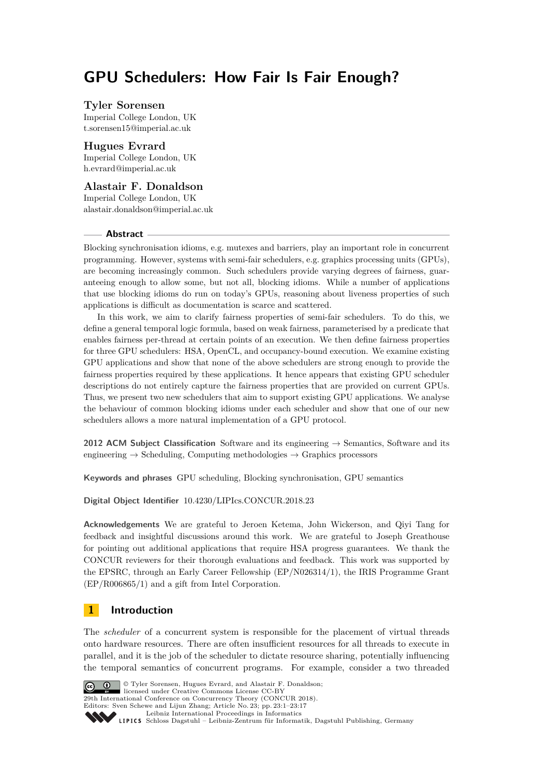# **GPU Schedulers: How Fair Is Fair Enough?**

## **Tyler Sorensen**

Imperial College London, UK [t.sorensen15@imperial.ac.uk](mailto:t.sorensen15@imperial.ac.uk)

# **Hugues Evrard**

Imperial College London, UK [h.evrard@imperial.ac.uk](mailto:h.evrard@imperial.ac.uk)

# **Alastair F. Donaldson**

Imperial College London, UK [alastair.donaldson@imperial.ac.uk](mailto:alastair.donaldson@imperial.ac.uk)

#### **Abstract**

Blocking synchronisation idioms, e.g. mutexes and barriers, play an important role in concurrent programming. However, systems with semi-fair schedulers, e.g. graphics processing units (GPUs), are becoming increasingly common. Such schedulers provide varying degrees of fairness, guaranteeing enough to allow some, but not all, blocking idioms. While a number of applications that use blocking idioms do run on today's GPUs, reasoning about liveness properties of such applications is difficult as documentation is scarce and scattered.

In this work, we aim to clarify fairness properties of semi-fair schedulers. To do this, we define a general temporal logic formula, based on weak fairness, parameterised by a predicate that enables fairness per-thread at certain points of an execution. We then define fairness properties for three GPU schedulers: HSA, OpenCL, and occupancy-bound execution. We examine existing GPU applications and show that none of the above schedulers are strong enough to provide the fairness properties required by these applications. It hence appears that existing GPU scheduler descriptions do not entirely capture the fairness properties that are provided on current GPUs. Thus, we present two new schedulers that aim to support existing GPU applications. We analyse the behaviour of common blocking idioms under each scheduler and show that one of our new schedulers allows a more natural implementation of a GPU protocol.

**2012 ACM Subject Classification** Software and its engineering → Semantics, Software and its engineering  $\rightarrow$  Scheduling, Computing methodologies  $\rightarrow$  Graphics processors

**Keywords and phrases** GPU scheduling, Blocking synchronisation, GPU semantics

# **Digital Object Identifier** [10.4230/LIPIcs.CONCUR.2018.23](http://dx.doi.org/10.4230/LIPIcs.CONCUR.2018.23)

**Acknowledgements** We are grateful to Jeroen Ketema, John Wickerson, and Qiyi Tang for feedback and insightful discussions around this work. We are grateful to Joseph Greathouse for pointing out additional applications that require HSA progress guarantees. We thank the CONCUR reviewers for their thorough evaluations and feedback. This work was supported by the EPSRC, through an Early Career Fellowship (EP/N026314/1), the IRIS Programme Grant (EP/R006865/1) and a gift from Intel Corporation.

# <span id="page-0-0"></span>**1 Introduction**

The *scheduler* of a concurrent system is responsible for the placement of virtual threads onto hardware resources. There are often insufficient resources for all threads to execute in parallel, and it is the job of the scheduler to dictate resource sharing, potentially influencing the temporal semantics of concurrent programs. For example, consider a two threaded



© Tyler Sorensen, Hugues Evrard, and Alastair F. Donaldson; licensed under Creative Commons License CC-BY 29th International Conference on Concurrency Theory (CONCUR 2018).

Editors: Sven Schewe and Lijun Zhang; Article No. 23; pp. 23:1–23[:17](#page-16-0)

[Leibniz International Proceedings in Informatics](http://www.dagstuhl.de/lipics/)

[Schloss Dagstuhl – Leibniz-Zentrum für Informatik, Dagstuhl Publishing, Germany](http://www.dagstuhl.de)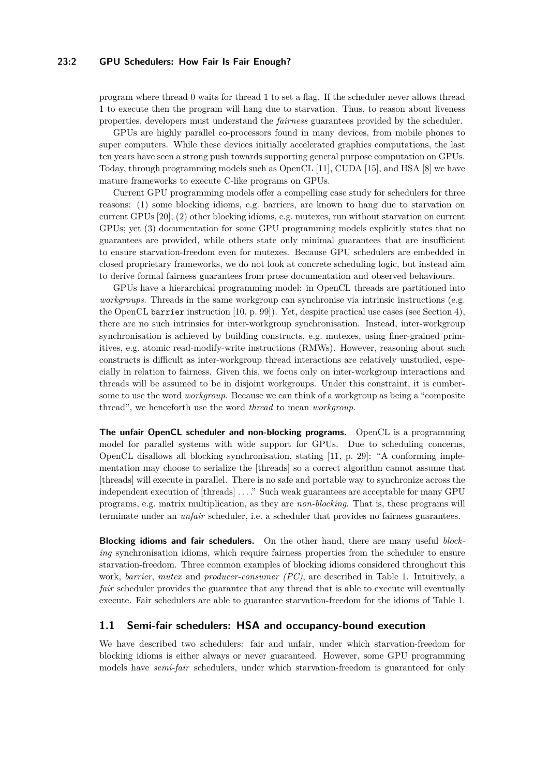## **23:2 GPU Schedulers: How Fair Is Fair Enough?**

program where thread 0 waits for thread 1 to set a flag. If the scheduler never allows thread 1 to execute then the program will hang due to starvation. Thus, to reason about liveness properties, developers must understand the *fairness* guarantees provided by the scheduler.

GPUs are highly parallel co-processors found in many devices, from mobile phones to super computers. While these devices initially accelerated graphics computations, the last ten years have seen a strong push towards supporting general purpose computation on GPUs. Today, through programming models such as OpenCL [\[11\]](#page-15-0), CUDA [\[15\]](#page-15-1), and HSA [\[8\]](#page-15-2) we have mature frameworks to execute C-like programs on GPUs.

Current GPU programming models offer a compelling case study for schedulers for three reasons: (1) some blocking idioms, e.g. barriers, are known to hang due to starvation on current GPUs [\[20\]](#page-15-3); (2) other blocking idioms, e.g. mutexes, run without starvation on current GPUs; yet (3) documentation for some GPU programming models explicitly states that no guarantees are provided, while others state only minimal guarantees that are insufficient to ensure starvation-freedom even for mutexes. Because GPU schedulers are embedded in closed proprietary frameworks, we do not look at concrete scheduling logic, but instead aim to derive formal fairness guarantees from prose documentation and observed behaviours.

GPUs have a hierarchical programming model: in OpenCL threads are partitioned into *workgroups*. Threads in the same workgroup can synchronise via intrinsic instructions (e.g. the OpenCL barrier instruction [\[10,](#page-15-4) p. 99]). Yet, despite practical use cases (see Section [4\)](#page-9-0), there are no such intrinsics for inter-workgroup synchronisation. Instead, inter-workgroup synchronisation is achieved by building constructs, e.g. mutexes, using finer-grained primitives, e.g. atomic read-modify-write instructions (RMWs). However, reasoning about such constructs is difficult as inter-workgroup thread interactions are relatively unstudied, especially in relation to fairness. Given this, we focus only on inter-workgroup interactions and threads will be assumed to be in disjoint workgroups. Under this constraint, it is cumbersome to use the word *workgroup*. Because we can think of a workgroup as being a "composite thread", we henceforth use the word *thread* to mean *workgroup*.

**The unfair OpenCL scheduler and non-blocking programs.** OpenCL is a programming model for parallel systems with wide support for GPUs. Due to scheduling concerns, OpenCL disallows all blocking synchronisation, stating [\[11,](#page-15-0) p. 29]: "A conforming implementation may choose to serialize the [threads] so a correct algorithm cannot assume that [threads] will execute in parallel. There is no safe and portable way to synchronize across the independent execution of [threads] . . . ." Such weak guarantees are acceptable for many GPU programs, e.g. matrix multiplication, as they are *non-blocking*. That is, these programs will terminate under an *unfair* scheduler, i.e. a scheduler that provides no fairness guarantees.

**Blocking idioms and fair schedulers.** On the other hand, there are many useful *blocking* synchronisation idioms, which require fairness properties from the scheduler to ensure starvation-freedom. Three common examples of blocking idioms considered throughout this work, *barrier*, *mutex* and *producer-consumer (PC)*, are described in Table [1.](#page-2-0) Intuitively, a *fair* scheduler provides the guarantee that any thread that is able to execute will eventually execute. Fair schedulers are able to guarantee starvation-freedom for the idioms of Table [1.](#page-2-0)

# **1.1 Semi-fair schedulers: HSA and occupancy-bound execution**

We have described two schedulers: fair and unfair, under which starvation-freedom for blocking idioms is either always or never guaranteed. However, some GPU programming models have *semi-fair* schedulers, under which starvation-freedom is guaranteed for only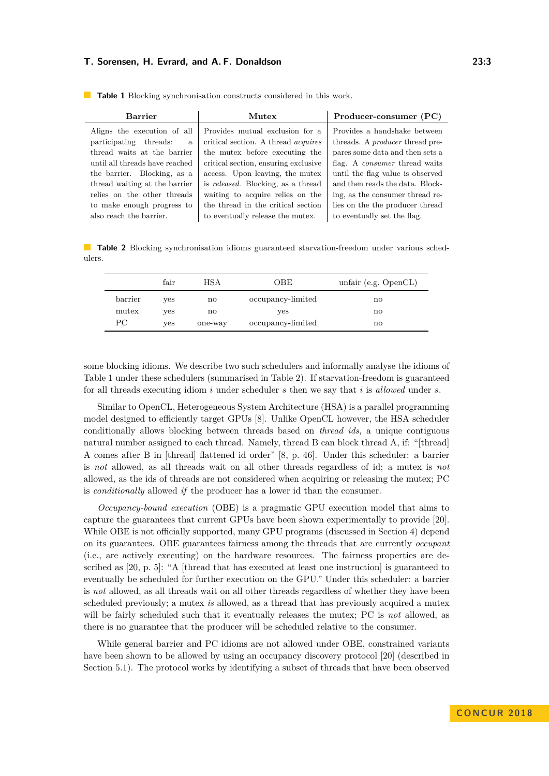| <b>Barrier</b>                                             | Mutex                                                                         | Producer-consumer (PC)                                                 |  |
|------------------------------------------------------------|-------------------------------------------------------------------------------|------------------------------------------------------------------------|--|
| Aligns the execution of all<br>participating threads:<br>a | Provides mutual exclusion for a<br>critical section. A thread <i>acquires</i> | Provides a handshake between<br>threads. A <i>producer</i> thread pre- |  |
| thread waits at the barrier                                | the mutex before executing the                                                | pares some data and then sets a                                        |  |
| until all threads have reached                             | critical section, ensuring exclusive                                          | flag. A <i>consumer</i> thread waits                                   |  |
| the barrier. Blocking, as a                                | access. Upon leaving, the mutex                                               | until the flag value is observed                                       |  |
| thread waiting at the barrier                              | is released. Blocking, as a thread                                            | and then reads the data. Block-                                        |  |
| relies on the other threads                                | waiting to acquire relies on the                                              | ing, as the consumer thread re-                                        |  |
| to make enough progress to                                 | the thread in the critical section                                            | lies on the the producer thread                                        |  |
| also reach the barrier.                                    | to eventually release the mutex.                                              | to eventually set the flag.                                            |  |

<span id="page-2-0"></span>**Table 1** Blocking synchronisation constructs considered in this work.

<span id="page-2-1"></span>**Table 2** Blocking synchronisation idioms guaranteed starvation-freedom under various schedulers.

|         | fair | HSA     | OBE               | unfair (e.g. $OpenCL$ ) |
|---------|------|---------|-------------------|-------------------------|
| barrier | ves  | no      | occupancy-limited | $\mathbf{n}\mathbf{o}$  |
| mutex   | ves  | no      | ves               | no                      |
| PС      | ves  | one-way | occupancy-limited | $\mathbf{n}\mathbf{o}$  |

some blocking idioms. We describe two such schedulers and informally analyse the idioms of Table [1](#page-2-0) under these schedulers (summarised in Table [2\)](#page-2-1). If starvation-freedom is guaranteed for all threads executing idiom *i* under scheduler *s* then we say that *i* is *allowed* under *s*.

Similar to OpenCL, Heterogeneous System Architecture (HSA) is a parallel programming model designed to efficiently target GPUs [\[8\]](#page-15-2). Unlike OpenCL however, the HSA scheduler conditionally allows blocking between threads based on *thread ids*, a unique contiguous natural number assigned to each thread. Namely, thread B can block thread A, if: "[thread] A comes after B in [thread] flattened id order" [\[8,](#page-15-2) p. 46]. Under this scheduler: a barrier is *not* allowed, as all threads wait on all other threads regardless of id; a mutex is *not* allowed, as the ids of threads are not considered when acquiring or releasing the mutex; PC is *conditionally* allowed *if* the producer has a lower id than the consumer.

*Occupancy-bound execution* (OBE) is a pragmatic GPU execution model that aims to capture the guarantees that current GPUs have been shown experimentally to provide [\[20\]](#page-15-3). While OBE is not officially supported, many GPU programs (discussed in Section [4\)](#page-9-0) depend on its guarantees. OBE guarantees fairness among the threads that are currently *occupant* (i.e., are actively executing) on the hardware resources. The fairness properties are described as [\[20,](#page-15-3) p. 5]: "A [thread that has executed at least one instruction] is guaranteed to eventually be scheduled for further execution on the GPU." Under this scheduler: a barrier is *not* allowed, as all threads wait on all other threads regardless of whether they have been scheduled previously; a mutex *is* allowed, as a thread that has previously acquired a mutex will be fairly scheduled such that it eventually releases the mutex; PC is *not* allowed, as there is no guarantee that the producer will be scheduled relative to the consumer.

While general barrier and PC idioms are not allowed under OBE, constrained variants have been shown to be allowed by using an occupancy discovery protocol [\[20\]](#page-15-3) (described in Section [5.1\)](#page-12-0). The protocol works by identifying a subset of threads that have been observed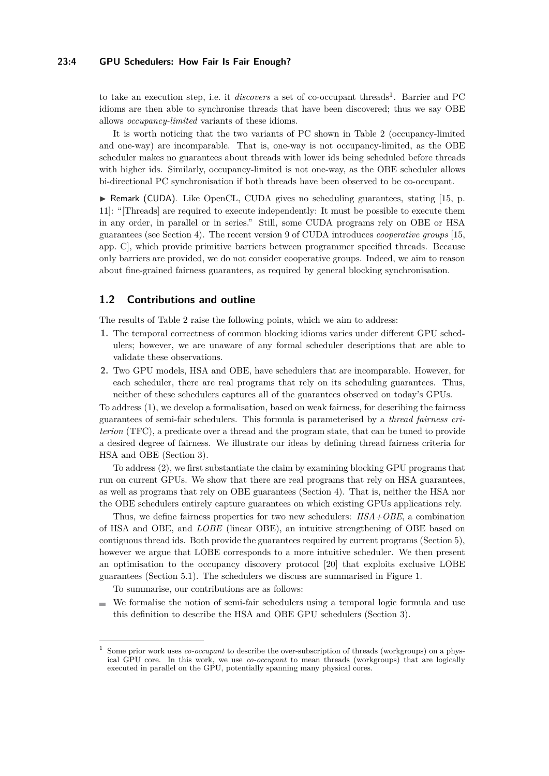## **23:4 GPU Schedulers: How Fair Is Fair Enough?**

to take an execution step, i.e. it *discovers* a set of co-occupant threads<sup>[1](#page-3-0)</sup>. Barrier and PC idioms are then able to synchronise threads that have been discovered; thus we say OBE allows *occupancy-limited* variants of these idioms.

It is worth noticing that the two variants of PC shown in Table [2](#page-2-1) (occupancy-limited and one-way) are incomparable. That is, one-way is not occupancy-limited, as the OBE scheduler makes no guarantees about threads with lower ids being scheduled before threads with higher ids. Similarly, occupancy-limited is not one-way, as the OBE scheduler allows bi-directional PC synchronisation if both threads have been observed to be co-occupant.

 $\triangleright$  Remark (CUDA). Like OpenCL, CUDA gives no scheduling guarantees, stating [\[15,](#page-15-1) p. 11]: "[Threads] are required to execute independently: It must be possible to execute them in any order, in parallel or in series." Still, some CUDA programs rely on OBE or HSA guarantees (see Section 4). The recent version 9 of CUDA introduces *cooperative groups* [\[15,](#page-15-1) app. C], which provide primitive barriers between programmer specified threads. Because only barriers are provided, we do not consider cooperative groups. Indeed, we aim to reason about fine-grained fairness guarantees, as required by general blocking synchronisation.

## **1.2 Contributions and outline**

The results of Table [2](#page-2-1) raise the following points, which we aim to address:

- **1.** The temporal correctness of common blocking idioms varies under different GPU schedulers; however, we are unaware of any formal scheduler descriptions that are able to validate these observations.
- **2.** Two GPU models, HSA and OBE, have schedulers that are incomparable. However, for each scheduler, there are real programs that rely on its scheduling guarantees. Thus, neither of these schedulers captures all of the guarantees observed on today's GPUs.

To address (1), we develop a formalisation, based on weak fairness, for describing the fairness guarantees of semi-fair schedulers. This formula is parameterised by a *thread fairness criterion* (TFC), a predicate over a thread and the program state, that can be tuned to provide a desired degree of fairness. We illustrate our ideas by defining thread fairness criteria for HSA and OBE (Section [3\)](#page-7-0).

To address (2), we first substantiate the claim by examining blocking GPU programs that run on current GPUs. We show that there are real programs that rely on HSA guarantees, as well as programs that rely on OBE guarantees (Section [4\)](#page-9-0). That is, neither the HSA nor the OBE schedulers entirely capture guarantees on which existing GPUs applications rely.

Thus, we define fairness properties for two new schedulers: *HSA+OBE*, a combination of HSA and OBE, and *LOBE* (linear OBE), an intuitive strengthening of OBE based on contiguous thread ids. Both provide the guarantees required by current programs (Section [5\)](#page-11-0), however we argue that LOBE corresponds to a more intuitive scheduler. We then present an optimisation to the occupancy discovery protocol [\[20\]](#page-15-3) that exploits exclusive LOBE guarantees (Section [5.1\)](#page-12-0). The schedulers we discuss are summarised in Figure [1.](#page-4-0)

To summarise, our contributions are as follows:

We formalise the notion of semi-fair schedulers using a temporal logic formula and use this definition to describe the HSA and OBE GPU schedulers (Section [3\)](#page-7-0).

<span id="page-3-0"></span><sup>1</sup> Some prior work uses *co-occupant* to describe the over-subscription of threads (workgroups) on a physical GPU core. In this work, we use *co-occupant* to mean threads (workgroups) that are logically executed in parallel on the GPU, potentially spanning many physical cores.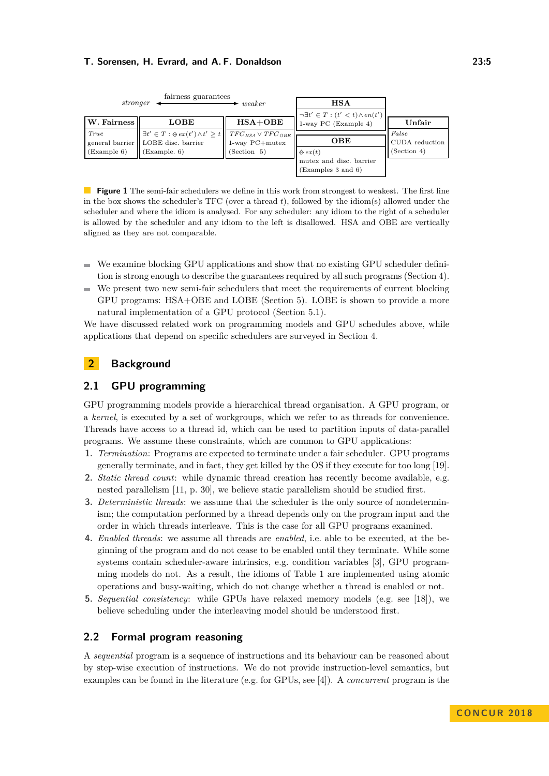<span id="page-4-0"></span>

| fairness guarantees<br>stronger<br>weaker |              |             | <b>HSA</b>                                                                 |                                        |
|-------------------------------------------|--------------|-------------|----------------------------------------------------------------------------|----------------------------------------|
| W. Fairness                               | <b>LOBE</b>  | $HSA+OBE$   | $\neg \exists t' \in T : (t' < t) \land en(t')$<br>$1$ -way PC (Example 4) | Unfair                                 |
| (Example 6)                               | (Example. 6) | (Section 5) | OBE<br>$\oint e x(t)$                                                      | False<br>CUDA reduction<br>(Section 4) |
|                                           |              |             | mutex and disc. barrier<br>(Examples 3 and 6)                              |                                        |

**Figure 1** The semi-fair schedulers we define in this work from strongest to weakest. The first line in the box shows the scheduler's TFC (over a thread *t*), followed by the idiom(s) allowed under the scheduler and where the idiom is analysed. For any scheduler: any idiom to the right of a scheduler is allowed by the scheduler and any idiom to the left is disallowed. HSA and OBE are vertically aligned as they are not comparable.

- We examine blocking GPU applications and show that no existing GPU scheduler definition is strong enough to describe the guarantees required by all such programs (Section [4\)](#page-9-0).
- We present two new semi-fair schedulers that meet the requirements of current blocking GPU programs: HSA+OBE and LOBE (Section [5\)](#page-11-0). LOBE is shown to provide a more natural implementation of a GPU protocol (Section [5.1\)](#page-12-0).

We have discussed related work on programming models and GPU schedules above, while applications that depend on specific schedulers are surveyed in Section [4.](#page-9-0)

# **2 Background**

# <span id="page-4-1"></span>**2.1 GPU programming**

GPU programming models provide a hierarchical thread organisation. A GPU program, or a *kernel*, is executed by a set of workgroups, which we refer to as threads for convenience. Threads have access to a thread id, which can be used to partition inputs of data-parallel programs. We assume these constraints, which are common to GPU applications:

- **1.** *Termination*: Programs are expected to terminate under a fair scheduler. GPU programs generally terminate, and in fact, they get killed by the OS if they execute for too long [\[19\]](#page-15-5).
- **2.** *Static thread count*: while dynamic thread creation has recently become available, e.g. nested parallelism [\[11,](#page-15-0) p. 30], we believe static parallelism should be studied first.
- **3.** *Deterministic threads*: we assume that the scheduler is the only source of nondeterminism; the computation performed by a thread depends only on the program input and the order in which threads interleave. This is the case for all GPU programs examined.
- **4.** *Enabled threads*: we assume all threads are *enabled*, i.e. able to be executed, at the beginning of the program and do not cease to be enabled until they terminate. While some systems contain scheduler-aware intrinsics, e.g. condition variables [\[3\]](#page-14-0), GPU programming models do not. As a result, the idioms of Table [1](#page-2-0) are implemented using atomic operations and busy-waiting, which do not change whether a thread is enabled or not.
- **5.** *Sequential consistency*: while GPUs have relaxed memory models (e.g. see [\[18\]](#page-15-6)), we believe scheduling under the interleaving model should be understood first.

# **2.2 Formal program reasoning**

A *sequential* program is a sequence of instructions and its behaviour can be reasoned about by step-wise execution of instructions. We do not provide instruction-level semantics, but examples can be found in the literature (e.g. for GPUs, see [\[4\]](#page-15-7)). A *concurrent* program is the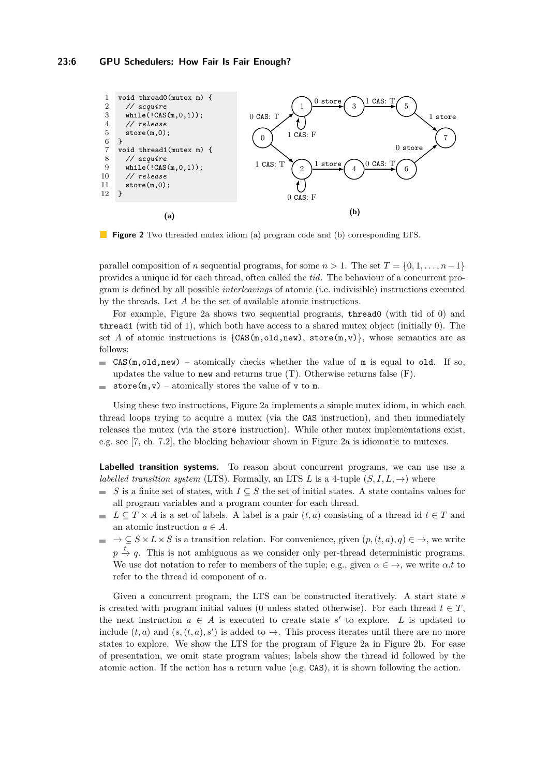## **23:6 GPU Schedulers: How Fair Is Fair Enough?**

<span id="page-5-0"></span>

**Figure 2** Two threaded mutex idiom (a) program code and (b) corresponding LTS.

parallel composition of *n* sequential programs, for some  $n > 1$ . The set  $T = \{0, 1, \ldots, n-1\}$ provides a unique id for each thread, often called the *tid*. The behaviour of a concurrent program is defined by all possible *interleavings* of atomic (i.e. indivisible) instructions executed by the threads. Let *A* be the set of available atomic instructions.

For example, Figure [2a](#page-5-0) shows two sequential programs, thread0 (with tid of 0) and thread1 (with tid of 1), which both have access to a shared mutex object (initially 0). The set *A* of atomic instructions is  $\{CAS(m,old,new), store(m,v)\}$ , whose semantics are as follows:

- $CAS(m,old,new)$  atomically checks whether the value of m is equal to old. If so,  $\mathcal{L}^{\mathcal{L}}$ updates the value to new and returns true (T). Otherwise returns false (F).
- store( $m, v$ ) atomically stores the value of v to  $m$ .  $\mathcal{L}_{\mathcal{A}}$

Using these two instructions, Figure [2a](#page-5-0) implements a simple mutex idiom, in which each thread loops trying to acquire a mutex (via the CAS instruction), and then immediately releases the mutex (via the store instruction). While other mutex implementations exist, e.g. see [\[7,](#page-15-8) ch. 7.2], the blocking behaviour shown in Figure [2a](#page-5-0) is idiomatic to mutexes.

**Labelled transition systems.** To reason about concurrent programs, we can use use a *labelled transition system* (LTS). Formally, an LTS *L* is a 4-tuple  $(S, I, L, \rightarrow)$  where

- $S$  is a finite set of states, with *I* ⊆ *S* the set of initial states. A state contains values for all program variables and a program counter for each thread.
- $L \subseteq T \times A$  is a set of labels. A label is a pair  $(t, a)$  consisting of a thread id  $t \in T$  and  $\blacksquare$ an atomic instruction  $a \in A$ .
- $\rightarrow \subseteq S \times L \times S$  is a transition relation. For convenience, given  $(p, (t, a), q) \in \rightarrow$ , we write  $\overline{\phantom{a}}$  $p \stackrel{t}{\rightarrow} q$ . This is not ambiguous as we consider only per-thread deterministic programs. We use dot notation to refer to members of the tuple; e.g., given  $\alpha \in \rightarrow$ , we write  $\alpha.t$  to refer to the thread id component of *α*.

Given a concurrent program, the LTS can be constructed iteratively. A start state *s* is created with program initial values (0 unless stated otherwise). For each thread  $t \in T$ , the next instruction  $a \in A$  is executed to create state s' to explore. L is updated to include  $(t, a)$  and  $(s, (t, a), s')$  is added to  $\rightarrow$ . This process iterates until there are no more states to explore. We show the LTS for the program of Figure [2a](#page-5-0) in Figure [2b.](#page-5-0) For ease of presentation, we omit state program values; labels show the thread id followed by the atomic action. If the action has a return value (e.g. CAS), it is shown following the action.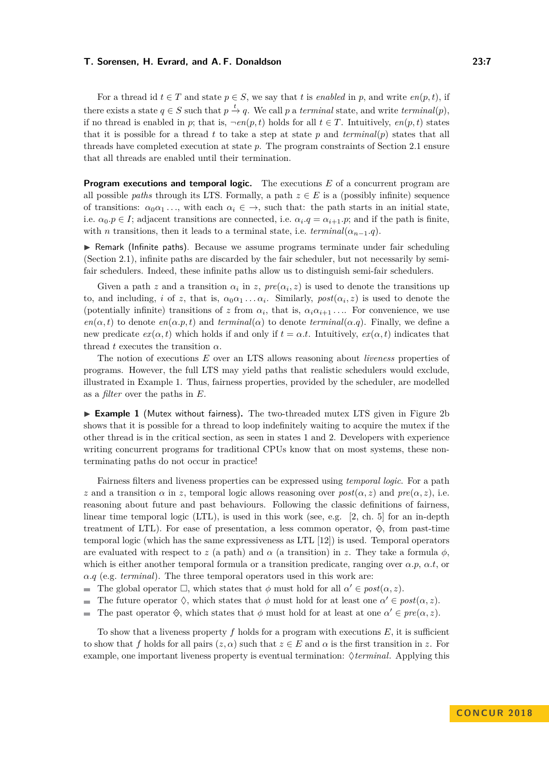For a thread id  $t \in T$  and state  $p \in S$ , we say that *t* is *enabled* in *p*, and write  $en(p, t)$ , if there exists a state  $q \in S$  such that  $p \stackrel{t}{\rightarrow} q$ . We call  $p$  a *terminal* state, and write *terminal*(*p*), if no thread is enabled in *p*; that is,  $\neg en(p, t)$  holds for all  $t \in T$ . Intuitively,  $en(p, t)$  states that it is possible for a thread  $t$  to take a step at state  $p$  and  $terminal(p)$  states that all threads have completed execution at state *p*. The program constraints of Section [2.1](#page-4-1) ensure that all threads are enabled until their termination.

<span id="page-6-1"></span>**Program executions and temporal logic.** The executions *E* of a concurrent program are all possible *paths* through its LTS. Formally, a path  $z \in E$  is a (possibly infinite) sequence of transitions:  $\alpha_0 \alpha_1 \ldots$ , with each  $\alpha_i \in \rightarrow$ , such that: the path starts in an initial state, i.e.  $\alpha_0 \cdot p \in I$ ; adjacent transitions are connected, i.e.  $\alpha_i \cdot q = \alpha_{i+1} \cdot p$ ; and if the path is finite, with *n* transitions, then it leads to a terminal state, i.e.  $terminal(\alpha_{n-1}.q)$ .

I Remark (Infinite paths). Because we assume programs terminate under fair scheduling (Section [2.1\)](#page-4-1), infinite paths are discarded by the fair scheduler, but not necessarily by semifair schedulers. Indeed, these infinite paths allow us to distinguish semi-fair schedulers.

Given a path *z* and a transition  $\alpha_i$  in *z*,  $pre(\alpha_i, z)$  is used to denote the transitions up to, and including, *i* of *z*, that is,  $\alpha_0 \alpha_1 \ldots \alpha_i$ . Similarly,  $post(\alpha_i, z)$  is used to denote the (potentially infinite) transitions of *z* from  $\alpha_i$ , that is,  $\alpha_i \alpha_{i+1} \ldots$  For convenience, we use  $en(\alpha, t)$  to denote  $en(\alpha, p, t)$  and *terminal*( $\alpha$ ) to denote *terminal*( $\alpha, q$ ). Finally, we define a new predicate  $ex(\alpha, t)$  which holds if and only if  $t = \alpha.t$ . Intuitively,  $ex(\alpha, t)$  indicates that thread *t* executes the transition  $\alpha$ .

The notion of executions *E* over an LTS allows reasoning about *liveness* properties of programs. However, the full LTS may yield paths that realistic schedulers would exclude, illustrated in Example [1.](#page-6-0) Thus, fairness properties, provided by the scheduler, are modelled as a *filter* over the paths in *E*.

<span id="page-6-0"></span>► **Example 1** (Mutex without fairness). The two-threaded mutex LTS given in Figure [2b](#page-5-0) shows that it is possible for a thread to loop indefinitely waiting to acquire the mutex if the other thread is in the critical section, as seen in states 1 and 2. Developers with experience writing concurrent programs for traditional CPUs know that on most systems, these nonterminating paths do not occur in practice!

Fairness filters and liveness properties can be expressed using *temporal logic*. For a path *z* and a transition  $\alpha$  in *z*, temporal logic allows reasoning over  $post(\alpha, z)$  and  $pre(\alpha, z)$ , i.e. reasoning about future and past behaviours. Following the classic definitions of fairness, linear time temporal logic (LTL), is used in this work (see, e.g. [\[2,](#page-14-1) ch. 5] for an in-depth treatment of LTL). For ease of presentation, a less common operator,  $\Diamond$ , from past-time temporal logic (which has the same expressiveness as LTL [\[12\]](#page-15-9)) is used. Temporal operators are evaluated with respect to *z* (a path) and  $\alpha$  (a transition) in *z*. They take a formula  $\phi$ , which is either another temporal formula or a transition predicate, ranging over  $\alpha$ .p,  $\alpha$ .t, or  $\alpha$ *.q* (e.g. *terminal*). The three temporal operators used in this work are:

- The global operator  $\Box$ , which states that  $\phi$  must hold for all  $\alpha' \in post(\alpha, z)$ .
- The future operator  $\Diamond$ , which states that  $\phi$  must hold for at least one  $\alpha' \in post(\alpha, z)$ .
- The past operator  $\Diamond$ , which states that  $\phi$  must hold for at least at one  $\alpha' \in pre(\alpha, z)$ .  $\sim$

To show that a liveness property *f* holds for a program with executions *E*, it is sufficient to show that *f* holds for all pairs  $(z, \alpha)$  such that  $z \in E$  and  $\alpha$  is the first transition in z. For example, one important liveness property is eventual termination:  $\Diamond terminal$ . Applying this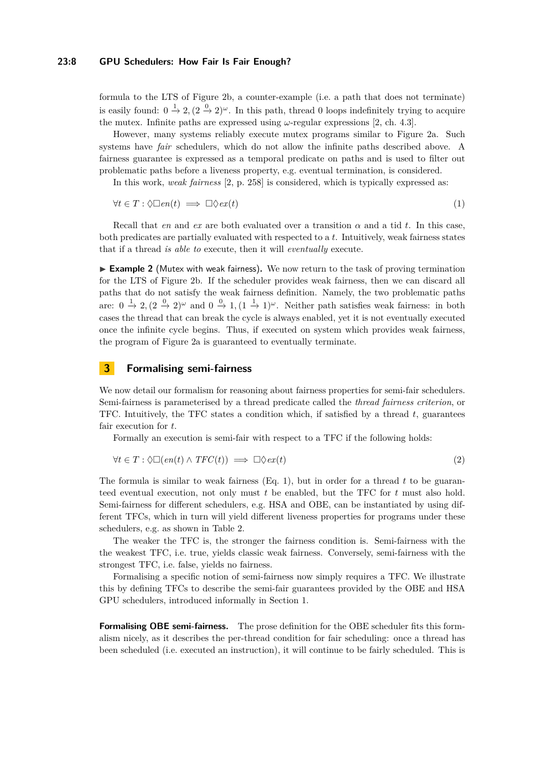#### **23:8 GPU Schedulers: How Fair Is Fair Enough?**

formula to the LTS of Figure [2b,](#page-5-0) a counter-example (i.e. a path that does not terminate) is easily found:  $0 \stackrel{1}{\rightarrow} 2$ ,  $(2 \stackrel{0}{\rightarrow} 2)$ <sup>ω</sup>. In this path, thread 0 loops indefinitely trying to acquire the mutex. Infinite paths are expressed using  $\omega$ -regular expressions [\[2,](#page-14-1) ch. 4.3].

However, many systems reliably execute mutex programs similar to Figure [2a.](#page-5-0) Such systems have *fair* schedulers, which do not allow the infinite paths described above. A fairness guarantee is expressed as a temporal predicate on paths and is used to filter out problematic paths before a liveness property, e.g. eventual termination, is considered.

<span id="page-7-1"></span>In this work, *weak fairness* [\[2,](#page-14-1) p. 258] is considered, which is typically expressed as:

$$
\forall t \in T : \Diamond \Box en(t) \implies \Box \Diamond ex(t) \tag{1}
$$

Recall that *en* and *ex* are both evaluated over a transition  $\alpha$  and a tid *t*. In this case, both predicates are partially evaluated with respected to a *t*. Intuitively, weak fairness states that if a thread *is able to* execute, then it will *eventually* execute.

► **Example 2** (Mutex with weak fairness). We now return to the task of proving termination for the LTS of Figure [2b.](#page-5-0) If the scheduler provides weak fairness, then we can discard all paths that do not satisfy the weak fairness definition. Namely, the two problematic paths are:  $0 \stackrel{1}{\rightarrow} 2$ ,  $(2 \stackrel{0}{\rightarrow} 2)^{\omega}$  and  $0 \stackrel{0}{\rightarrow} 1$ ,  $(1 \stackrel{1}{\rightarrow} 1)^{\omega}$ . Neither path satisfies weak fairness: in both cases the thread that can break the cycle is always enabled, yet it is not eventually executed once the infinite cycle begins. Thus, if executed on system which provides weak fairness, the program of Figure [2a](#page-5-0) is guaranteed to eventually terminate.

# <span id="page-7-0"></span>**3 Formalising semi-fairness**

We now detail our formalism for reasoning about fairness properties for semi-fair schedulers. Semi-fairness is parameterised by a thread predicate called the *thread fairness criterion*, or TFC. Intuitively, the TFC states a condition which, if satisfied by a thread *t*, guarantees fair execution for *t*.

Formally an execution is semi-fair with respect to a TFC if the following holds:

$$
\forall t \in T : \Diamond \Box (en(t) \land \mathit{TFC}(t)) \implies \Box \Diamond \mathit{ex}(t) \tag{2}
$$

The formula is similar to weak fairness (Eq. [1\)](#page-7-1), but in order for a thread *t* to be guaranteed eventual execution, not only must *t* be enabled, but the TFC for *t* must also hold. Semi-fairness for different schedulers, e.g. HSA and OBE, can be instantiated by using different TFCs, which in turn will yield different liveness properties for programs under these schedulers, e.g. as shown in Table [2.](#page-2-1)

The weaker the TFC is, the stronger the fairness condition is. Semi-fairness with the the weakest TFC, i.e. true, yields classic weak fairness. Conversely, semi-fairness with the strongest TFC, i.e. false, yields no fairness.

Formalising a specific notion of semi-fairness now simply requires a TFC. We illustrate this by defining TFCs to describe the semi-fair guarantees provided by the OBE and HSA GPU schedulers, introduced informally in Section [1.](#page-0-0)

**Formalising OBE semi-fairness.** The prose definition for the OBE scheduler fits this formalism nicely, as it describes the per-thread condition for fair scheduling: once a thread has been scheduled (i.e. executed an instruction), it will continue to be fairly scheduled. This is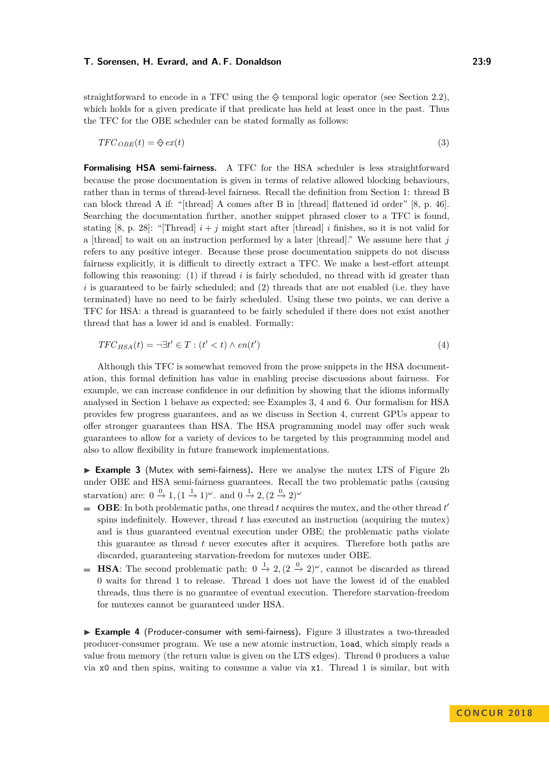straightforward to encode in a TFC using the  $\Diamond$  temporal logic operator (see Section [2.2\)](#page-6-1), which holds for a given predicate if that predicate has held at least once in the past. Thus the TFC for the OBE scheduler can be stated formally as follows:

$$
TFC_{OBE}(t) = \diamondsuit ex(t)
$$
\n(3)

**Formalising HSA semi-fairness.** A TFC for the HSA scheduler is less straightforward because the prose documentation is given in terms of relative allowed blocking behaviours, rather than in terms of thread-level fairness. Recall the definition from Section [1:](#page-0-0) thread B can block thread A if: "[thread] A comes after B in [thread] flattened id order" [\[8,](#page-15-2) p. 46]. Searching the documentation further, another snippet phrased closer to a TFC is found, stating [\[8,](#page-15-2) p. 28]: "[Thread]  $i + j$  might start after [thread] i finishes, so it is not valid for a [thread] to wait on an instruction performed by a later [thread]." We assume here that *j* refers to any positive integer. Because these prose documentation snippets do not discuss fairness explicitly, it is difficult to directly extract a TFC. We make a best-effort attempt following this reasoning: (1) if thread *i* is fairly scheduled, no thread with id greater than *i* is guaranteed to be fairly scheduled; and (2) threads that are not enabled (i.e. they have terminated) have no need to be fairly scheduled. Using these two points, we can derive a TFC for HSA: a thread is guaranteed to be fairly scheduled if there does not exist another thread that has a lower id and is enabled. Formally:

$$
TFC_{HSA}(t) = \neg \exists t' \in T : (t' < t) \land en(t')
$$
\n<sup>(4)</sup>

Although this TFC is somewhat removed from the prose snippets in the HSA documentation, this formal definition has value in enabling precise discussions about fairness. For example, we can increase confidence in our definition by showing that the idioms informally analysed in Section [1](#page-0-0) behave as expected; see Examples [3,](#page-8-1) [4](#page-8-0) and [6.](#page-13-0) Our formalism for HSA provides few progress guarantees, and as we discuss in Section [4,](#page-9-0) current GPUs appear to offer stronger guarantees than HSA. The HSA programming model may offer such weak guarantees to allow for a variety of devices to be targeted by this programming model and also to allow flexibility in future framework implementations.

<span id="page-8-1"></span>► Example 3 (Mutex with semi-fairness). Here we analyse the mutex LTS of Figure [2b](#page-5-0) under OBE and HSA semi-fairness guarantees. Recall the two problematic paths (causing starvation) are:  $0 \stackrel{0}{\rightarrow} 1$ ,  $(1 \stackrel{1}{\rightarrow} 1)$ <sup>ω</sup>. and  $0 \stackrel{1}{\rightarrow} 2$ ,  $(2 \stackrel{0}{\rightarrow} 2)$ <sup>ω</sup>

- **OBE**: In both problematic paths, one thread *t* acquires the mutex, and the other thread *t* spins indefinitely. However, thread *t* has executed an instruction (acquiring the mutex) and is thus guaranteed eventual execution under OBE; the problematic paths violate this guarantee as thread *t* never executes after it acquires. Therefore both paths are discarded, guaranteeing starvation-freedom for mutexes under OBE.
- **HSA**: The second problematic path:  $0 \stackrel{1}{\rightarrow} 2$ ,  $(2 \stackrel{0}{\rightarrow} 2)^{\omega}$ , cannot be discarded as thread 0 waits for thread 1 to release. Thread 1 does not have the lowest id of the enabled threads, thus there is no guarantee of eventual execution. Therefore starvation-freedom for mutexes cannot be guaranteed under HSA.

<span id="page-8-0"></span>▶ Example 4 (Producer-consumer with semi-fairness). Figure [3](#page-9-1) illustrates a two-threaded producer-consumer program. We use a new atomic instruction, load, which simply reads a value from memory (the return value is given on the LTS edges). Thread 0 produces a value via x0 and then spins, waiting to consume a value via x1. Thread 1 is similar, but with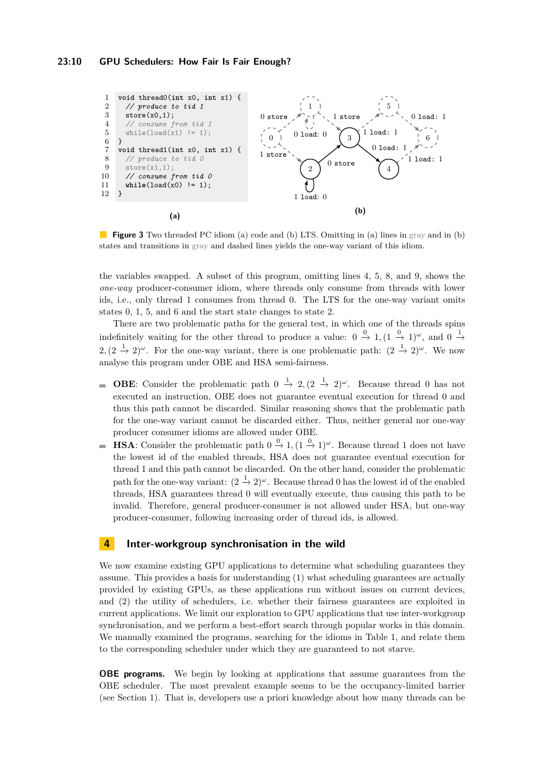<span id="page-9-1"></span>

**Figure 3** Two threaded PC idiom (a) code and (b) LTS. Omitting in (a) lines in gray and in (b) states and transitions in gray and dashed lines yields the one-way variant of this idiom.

the variables swapped. A subset of this program, omitting lines 4, 5, 8, and 9, shows the *one-way* producer-consumer idiom, where threads only consume from threads with lower ids, i.e., only thread 1 consumes from thread 0. The LTS for the one-way variant omits states 0, 1, 5, and 6 and the start state changes to state 2.

There are two problematic paths for the general test, in which one of the threads spins indefinitely waiting for the other thread to produce a value:  $0 \stackrel{0}{\rightarrow} 1$ ,  $(1 \stackrel{0}{\rightarrow} 1)$ <sup> $\omega$ </sup>, and  $0 \stackrel{1}{\rightarrow} 1$  $2, (2 \frac{1}{2})^{\omega}$ . For the one-way variant, there is one problematic path:  $(2 \frac{1}{2})^{\omega}$ . We now analyse this program under OBE and HSA semi-fairness.

- **OBE:** Consider the problematic path  $0 \stackrel{1}{\rightarrow} 2$ ,  $(2 \stackrel{1}{\rightarrow} 2)^{\omega}$ . Because thread 0 has not executed an instruction, OBE does not guarantee eventual execution for thread 0 and thus this path cannot be discarded. Similar reasoning shows that the problematic path for the one-way variant cannot be discarded either. Thus, neither general nor one-way producer consumer idioms are allowed under OBE.
- **HSA**: Consider the problematic path  $0 \stackrel{0}{\rightarrow} 1$ ,  $(1 \stackrel{0}{\rightarrow} 1)$ <sup> $\omega$ </sup>. Because thread 1 does not have  $\overline{\phantom{a}}$ the lowest id of the enabled threads, HSA does not guarantee eventual execution for thread 1 and this path cannot be discarded. On the other hand, consider the problematic path for the one-way variant:  $(2 \frac{1}{2} 2)^{\omega}$ . Because thread 0 has the lowest id of the enabled threads, HSA guarantees thread 0 will eventually execute, thus causing this path to be invalid. Therefore, general producer-consumer is not allowed under HSA, but one-way producer-consumer, following increasing order of thread ids, is allowed.

### <span id="page-9-0"></span>**4 Inter-workgroup synchronisation in the wild**

We now examine existing GPU applications to determine what scheduling guarantees they assume. This provides a basis for understanding (1) what scheduling guarantees are actually provided by existing GPUs, as these applications run without issues on current devices, and (2) the utility of schedulers, i.e. whether their fairness guarantees are exploited in current applications. We limit our exploration to GPU applications that use inter-workgroup synchronisation, and we perform a best-effort search through popular works in this domain. We manually examined the programs, searching for the idioms in Table [1,](#page-2-0) and relate them to the corresponding scheduler under which they are guaranteed to not starve.

**OBE programs.** We begin by looking at applications that assume guarantees from the OBE scheduler. The most prevalent example seems to be the occupancy-limited barrier (see Section [1\)](#page-0-0). That is, developers use a priori knowledge about how many threads can be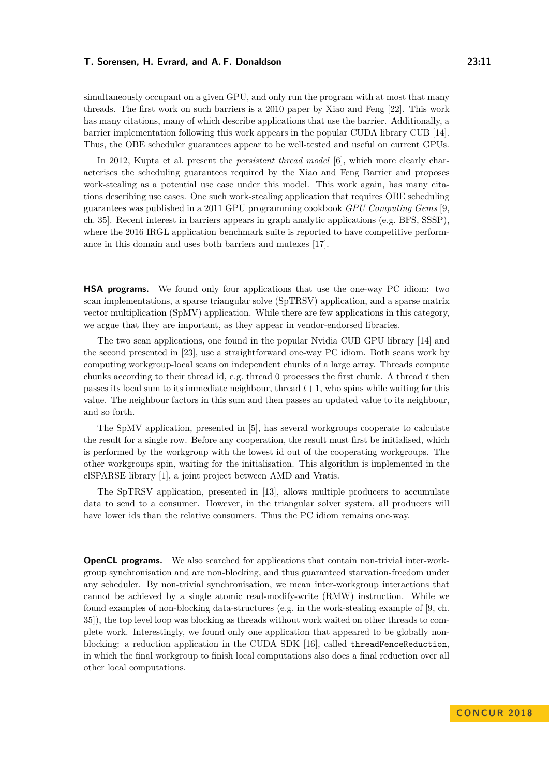simultaneously occupant on a given GPU, and only run the program with at most that many threads. The first work on such barriers is a 2010 paper by Xiao and Feng [\[22\]](#page-15-10). This work has many citations, many of which describe applications that use the barrier. Additionally, a barrier implementation following this work appears in the popular CUDA library CUB [\[14\]](#page-15-11). Thus, the OBE scheduler guarantees appear to be well-tested and useful on current GPUs.

In 2012, Kupta et al. present the *persistent thread model* [\[6\]](#page-15-12), which more clearly characterises the scheduling guarantees required by the Xiao and Feng Barrier and proposes work-stealing as a potential use case under this model. This work again, has many citations describing use cases. One such work-stealing application that requires OBE scheduling guarantees was published in a 2011 GPU programming cookbook *GPU Computing Gems* [\[9,](#page-15-13) ch. 35]. Recent interest in barriers appears in graph analytic applications (e.g. BFS, SSSP), where the 2016 IRGL application benchmark suite is reported to have competitive performance in this domain and uses both barriers and mutexes [\[17\]](#page-15-14).

**HSA programs.** We found only four applications that use the one-way PC idiom: two scan implementations, a sparse triangular solve (SpTRSV) application, and a sparse matrix vector multiplication (SpMV) application. While there are few applications in this category, we argue that they are important, as they appear in vendor-endorsed libraries.

The two scan applications, one found in the popular Nvidia CUB GPU library [\[14\]](#page-15-11) and the second presented in [\[23\]](#page-15-15), use a straightforward one-way PC idiom. Both scans work by computing workgroup-local scans on independent chunks of a large array. Threads compute chunks according to their thread id, e.g. thread 0 processes the first chunk. A thread *t* then passes its local sum to its immediate neighbour, thread *t*+1, who spins while waiting for this value. The neighbour factors in this sum and then passes an updated value to its neighbour, and so forth.

The SpMV application, presented in [\[5\]](#page-15-16), has several workgroups cooperate to calculate the result for a single row. Before any cooperation, the result must first be initialised, which is performed by the workgroup with the lowest id out of the cooperating workgroups. The other workgroups spin, waiting for the initialisation. This algorithm is implemented in the clSPARSE library [\[1\]](#page-14-2), a joint project between AMD and Vratis.

The SpTRSV application, presented in [\[13\]](#page-15-17), allows multiple producers to accumulate data to send to a consumer. However, in the triangular solver system, all producers will have lower ids than the relative consumers. Thus the PC idiom remains one-way.

<span id="page-10-0"></span>**OpenCL programs.** We also searched for applications that contain non-trivial inter-workgroup synchronisation and are non-blocking, and thus guaranteed starvation-freedom under any scheduler. By non-trivial synchronisation, we mean inter-workgroup interactions that cannot be achieved by a single atomic read-modify-write (RMW) instruction. While we found examples of non-blocking data-structures (e.g. in the work-stealing example of [\[9,](#page-15-13) ch. 35]), the top level loop was blocking as threads without work waited on other threads to complete work. Interestingly, we found only one application that appeared to be globally nonblocking: a reduction application in the CUDA SDK [\[16\]](#page-15-18), called threadFenceReduction, in which the final workgroup to finish local computations also does a final reduction over all other local computations.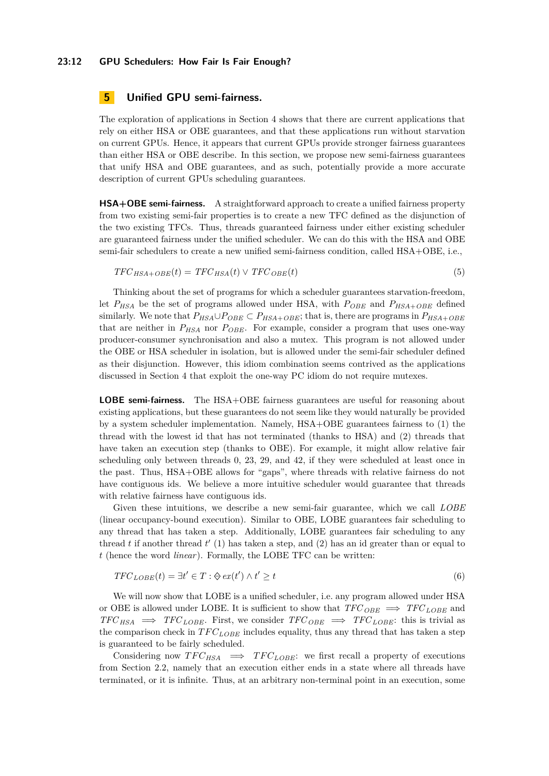#### **23:12 GPU Schedulers: How Fair Is Fair Enough?**

# <span id="page-11-0"></span>**5 Unified GPU semi-fairness.**

The exploration of applications in Section [4](#page-9-0) shows that there are current applications that rely on either HSA or OBE guarantees, and that these applications run without starvation on current GPUs. Hence, it appears that current GPUs provide stronger fairness guarantees than either HSA or OBE describe. In this section, we propose new semi-fairness guarantees that unify HSA and OBE guarantees, and as such, potentially provide a more accurate description of current GPUs scheduling guarantees.

**HSA+OBE semi-fairness.** A straightforward approach to create a unified fairness property from two existing semi-fair properties is to create a new TFC defined as the disjunction of the two existing TFCs. Thus, threads guaranteed fairness under either existing scheduler are guaranteed fairness under the unified scheduler. We can do this with the HSA and OBE semi-fair schedulers to create a new unified semi-fairness condition, called HSA+OBE, i.e.,

$$
TFC_{HSA+OBE}(t) = TFC_{HSA}(t) \lor TFC_{OBE}(t)
$$
\n
$$
(5)
$$

Thinking about the set of programs for which a scheduler guarantees starvation-freedom, let *PHSA* be the set of programs allowed under HSA, with *POBE* and *PHSA*+*OBE* defined similarly. We note that  $P_{HSA} \cup P_{OBE} \subset P_{HSA+OBE}$ ; that is, there are programs in  $P_{HSA+OBE}$ that are neither in *PHSA* nor *POBE*. For example, consider a program that uses one-way producer-consumer synchronisation and also a mutex. This program is not allowed under the OBE or HSA scheduler in isolation, but is allowed under the semi-fair scheduler defined as their disjunction. However, this idiom combination seems contrived as the applications discussed in Section [4](#page-9-0) that exploit the one-way PC idiom do not require mutexes.

**LOBE semi-fairness.** The HSA+OBE fairness guarantees are useful for reasoning about existing applications, but these guarantees do not seem like they would naturally be provided by a system scheduler implementation. Namely, HSA+OBE guarantees fairness to (1) the thread with the lowest id that has not terminated (thanks to HSA) and (2) threads that have taken an execution step (thanks to OBE). For example, it might allow relative fair scheduling only between threads 0, 23, 29, and 42, if they were scheduled at least once in the past. Thus, HSA+OBE allows for "gaps", where threads with relative fairness do not have contiguous ids. We believe a more intuitive scheduler would guarantee that threads with relative fairness have contiguous ids.

Given these intuitions, we describe a new semi-fair guarantee, which we call *LOBE* (linear occupancy-bound execution). Similar to OBE, LOBE guarantees fair scheduling to any thread that has taken a step. Additionally, LOBE guarantees fair scheduling to any thread  $t$  if another thread  $t'$  (1) has taken a step, and (2) has an id greater than or equal to *t* (hence the word *linear*). Formally, the LOBE TFC can be written:

$$
TFC_{LOBE}(t) = \exists t' \in T : \diamondsuit ex(t') \wedge t' \ge t
$$
\n
$$
(6)
$$

We will now show that LOBE is a unified scheduler, i.e. any program allowed under HSA or OBE is allowed under LOBE. It is sufficient to show that  $TFC_{OBE} \implies TFC_{LOBE}$  and  $TFC_{HSA} \implies TFC_{LOBE}$ . First, we consider  $TFC_{OBE} \implies TFC_{LOBE}$ : this is trivial as the comparison check in  $TFC_{LOBE}$  includes equality, thus any thread that has taken a step is guaranteed to be fairly scheduled.

Considering now  $TFC_{HSA} \implies TFC_{LOBE}$ : we first recall a property of executions from Section [2.2,](#page-6-1) namely that an execution either ends in a state where all threads have terminated, or it is infinite. Thus, at an arbitrary non-terminal point in an execution, some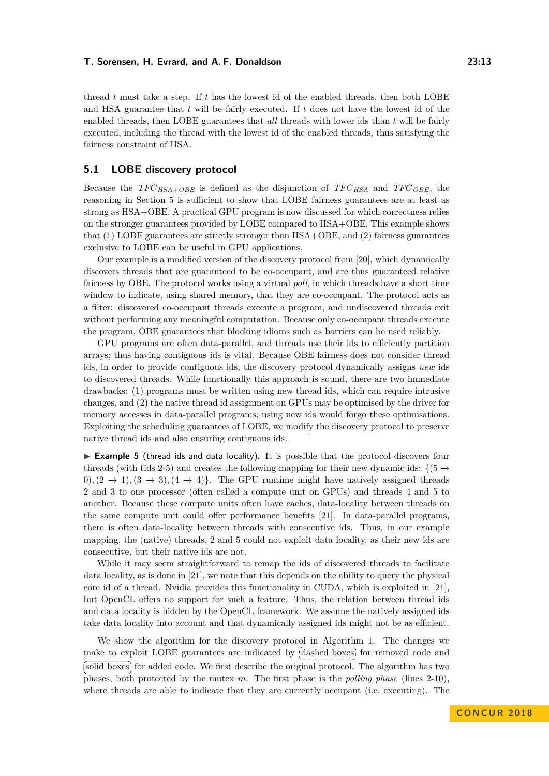thread *t* must take a step. If *t* has the lowest id of the enabled threads, then both LOBE and HSA guarantee that *t* will be fairly executed. If *t* does not have the lowest id of the enabled threads, then LOBE guarantees that *all* threads with lower ids than *t* will be fairly executed, including the thread with the lowest id of the enabled threads, thus satisfying the fairness constraint of HSA.

# <span id="page-12-0"></span>**5.1 LOBE discovery protocol**

Because the  $TFC_{HSA+OBE}$  is defined as the disjunction of  $TFC_{HSA}$  and  $TFC_{OBE}$ , the reasoning in Section [5](#page-11-0) is sufficient to show that LOBE fairness guarantees are at least as strong as HSA+OBE. A practical GPU program is now discussed for which correctness relies on the stronger guarantees provided by LOBE compared to HSA+OBE. This example shows that (1) LOBE guarantees are strictly stronger than HSA+OBE, and (2) fairness guarantees exclusive to LOBE can be useful in GPU applications.

Our example is a modified version of the discovery protocol from [\[20\]](#page-15-3), which dynamically discovers threads that are guaranteed to be co-occupant, and are thus guaranteed relative fairness by OBE. The protocol works using a virtual *poll*, in which threads have a short time window to indicate, using shared memory, that they are co-occupant. The protocol acts as a filter: discovered co-occupant threads execute a program, and undiscovered threads exit without performing any meaningful computation. Because only co-occupant threads execute the program, OBE guarantees that blocking idioms such as barriers can be used reliably.

GPU programs are often data-parallel, and threads use their ids to efficiently partition arrays; thus having contiguous ids is vital. Because OBE fairness does not consider thread ids, in order to provide contiguous ids, the discovery protocol dynamically assigns *new* ids to discovered threads. While functionally this approach is sound, there are two immediate drawbacks: (1) programs must be written using new thread ids, which can require intrusive changes, and (2) the native thread id assignment on GPUs may be optimised by the driver for memory accesses in data-parallel programs; using new ids would forgo these optimisations. Exploiting the scheduling guarantees of LOBE, we modify the discovery protocol to preserve native thread ids and also ensuring contiguous ids.

 $\triangleright$  **Example 5** (thread ids and data locality). It is possible that the protocol discovers four threads (with tids 2-5) and creates the following mapping for their new dynamic ids:  $\{5 \rightarrow$  $(0)$ ,  $(2 \rightarrow 1)$ ,  $(3 \rightarrow 3)$ ,  $(4 \rightarrow 4)$ . The GPU runtime might have natively assigned threads 2 and 3 to one processor (often called a compute unit on GPUs) and threads 4 and 5 to another. Because these compute units often have caches, data-locality between threads on the same compute unit could offer performance benefits [\[21\]](#page-15-19). In data-parallel programs, there is often data-locality between threads with consecutive ids. Thus, in our example mapping, the (native) threads, 2 and 5 could not exploit data locality, as their new ids are consecutive, but their native ids are not.

While it may seem straightforward to remap the ids of discovered threads to facilitate data locality, as is done in [\[21\]](#page-15-19), we note that this depends on the ability to query the physical core id of a thread. Nvidia provides this functionality in CUDA, which is exploited in [\[21\]](#page-15-19), but OpenCL offers no support for such a feature. Thus, the relation between thread ids and data locality is hidden by the OpenCL framework. We assume the natively assigned ids take data locality into account and that dynamically assigned ids might not be as efficient.

We show the algorithm for the discovery protocol in Algorithm [1.](#page-13-1) The changes we make to exploit LOBE guarantees are indicated by  $\hat{d}$  ashed boxes<sup> $\hat{d}$ </sup> for removed code and solid boxes for added code. We first describe the original protocol. The algorithm has two phases, both protected by the mutex *m*. The first phase is the *polling phase* (lines 2-10), where threads are able to indicate that they are currently occupant (i.e. executing). The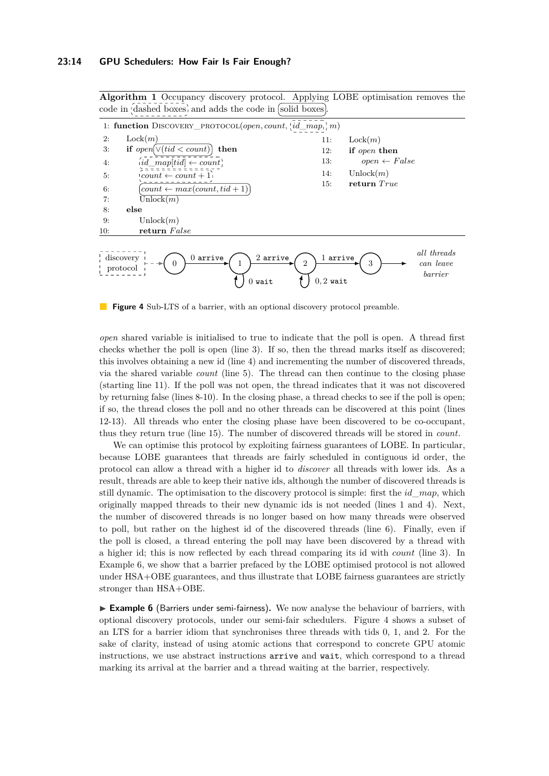code in  $d$  dashed boxes, and adds the code in solid boxes 1: **function** Discovery\_protocol(*open, count, id*\_*map, m*) 2: Lock(*m*) 3: **if**  $open[\vee (tid < count)]$  **then** 4:  $id\_map[tid] \leftarrow count$ 5:  $\{count \leftarrow count + 1\}$ 6:  $\{count \leftarrow max(count, tid + 1)\}$ 7:  $\overline{\text{Unlock}(m)}$ 8: **else** 9: Unlock(*m*) 10: **return** *F alse* 11: Lock(*m*) 12: **if** *open* **then** 13:  $open \leftarrow False$ 14: Unlock(*m*) 15: **return**  $True$ discovery protocol  $\uparrow$   $\rightarrow$  (0)  $\rightarrow$   $\rightarrow$  (1)  $\rightarrow$   $\rightarrow$  (2)  $\rightarrow$   $\rightarrow$  (3) *all threads can leave barrier* 0 wait  $\left( \begin{array}{cc} 0 & 0 \\ 0 & 2 \end{array} \right)$  $\begin{pmatrix} 0 & \text{array}{c} \\ 0 & \text{array}{c} \end{pmatrix}$   $\begin{pmatrix} 2 & \text{array}{c} \\ 2 & \text{array}{c} \end{pmatrix}$  1 arrive

<span id="page-13-1"></span>**Algorithm 1** Occupancy discovery protocol. Applying LOBE optimisation removes the

<span id="page-13-2"></span>**Figure 4** Sub-LTS of a barrier, with an optional discovery protocol preamble.

*open* shared variable is initialised to true to indicate that the poll is open. A thread first checks whether the poll is open (line 3). If so, then the thread marks itself as discovered; this involves obtaining a new id (line 4) and incrementing the number of discovered threads, via the shared variable *count* (line 5). The thread can then continue to the closing phase (starting line 11). If the poll was not open, the thread indicates that it was not discovered by returning false (lines 8-10). In the closing phase, a thread checks to see if the poll is open; if so, the thread closes the poll and no other threads can be discovered at this point (lines 12-13). All threads who enter the closing phase have been discovered to be co-occupant, thus they return true (line 15). The number of discovered threads will be stored in *count*.

We can optimise this protocol by exploiting fairness guarantees of LOBE. In particular, because LOBE guarantees that threads are fairly scheduled in contiguous id order, the protocol can allow a thread with a higher id to *discover* all threads with lower ids. As a result, threads are able to keep their native ids, although the number of discovered threads is still dynamic. The optimisation to the discovery protocol is simple: first the *id*\_*map*, which originally mapped threads to their new dynamic ids is not needed (lines 1 and 4). Next, the number of discovered threads is no longer based on how many threads were observed to poll, but rather on the highest id of the discovered threads (line 6). Finally, even if the poll is closed, a thread entering the poll may have been discovered by a thread with a higher id; this is now reflected by each thread comparing its id with *count* (line 3). In Example [6,](#page-13-0) we show that a barrier prefaced by the LOBE optimised protocol is not allowed under HSA+OBE guarantees, and thus illustrate that LOBE fairness guarantees are strictly stronger than HSA+OBE.

<span id="page-13-0"></span>► Example 6 (Barriers under semi-fairness). We now analyse the behaviour of barriers, with optional discovery protocols, under our semi-fair schedulers. Figure [4](#page-13-2) shows a subset of an LTS for a barrier idiom that synchronises three threads with tids 0, 1, and 2. For the sake of clarity, instead of using atomic actions that correspond to concrete GPU atomic instructions, we use abstract instructions arrive and wait, which correspond to a thread marking its arrival at the barrier and a thread waiting at the barrier, respectively.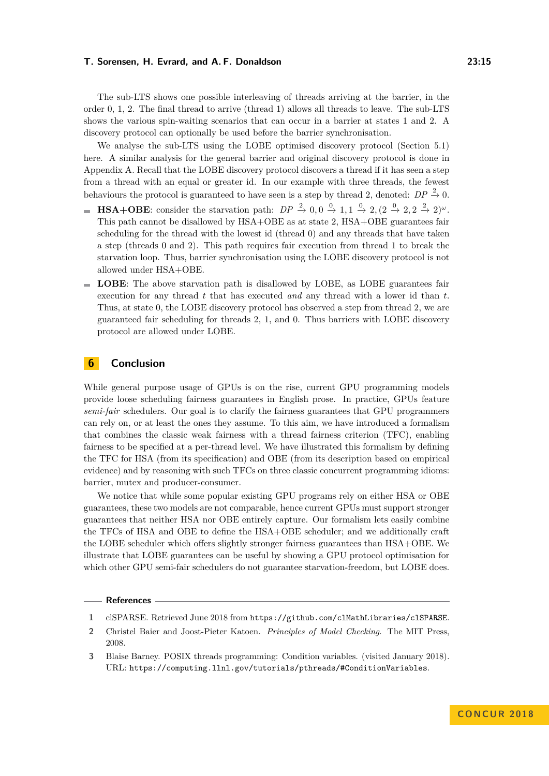The sub-LTS shows one possible interleaving of threads arriving at the barrier, in the order 0, 1, 2. The final thread to arrive (thread 1) allows all threads to leave. The sub-LTS shows the various spin-waiting scenarios that can occur in a barrier at states 1 and 2. A discovery protocol can optionally be used before the barrier synchronisation.

We analyse the sub-LTS using the LOBE optimised discovery protocol (Section [5.1\)](#page-12-0) here. A similar analysis for the general barrier and original discovery protocol is done in Appendix [A.](#page-16-1) Recall that the LOBE discovery protocol discovers a thread if it has seen a step from a thread with an equal or greater id. In our example with three threads, the fewest behaviours the protocol is guaranteed to have seen is a step by thread 2, denoted:  $DP \stackrel{2}{\rightarrow} 0$ .

- **HSA+OBE**: consider the starvation path:  $DP \stackrel{2}{\rightarrow} 0, 0 \stackrel{0}{\rightarrow} 1, 1 \stackrel{0}{\rightarrow} 2, (2 \stackrel{0}{\rightarrow} 2, 2 \stackrel{2}{\rightarrow} 2)^\omega$ . This path cannot be disallowed by HSA+OBE as at state 2, HSA+OBE guarantees fair scheduling for the thread with the lowest id (thread 0) and any threads that have taken a step (threads 0 and 2). This path requires fair execution from thread 1 to break the starvation loop. Thus, barrier synchronisation using the LOBE discovery protocol is not allowed under HSA+OBE.
- **LOBE**: The above starvation path is disallowed by LOBE, as LOBE guarantees fair execution for any thread *t* that has executed *and* any thread with a lower id than *t*. Thus, at state 0, the LOBE discovery protocol has observed a step from thread 2, we are guaranteed fair scheduling for threads 2, 1, and 0. Thus barriers with LOBE discovery protocol are allowed under LOBE.

# **6 Conclusion**

While general purpose usage of GPUs is on the rise, current GPU programming models provide loose scheduling fairness guarantees in English prose. In practice, GPUs feature *semi-fair* schedulers. Our goal is to clarify the fairness guarantees that GPU programmers can rely on, or at least the ones they assume. To this aim, we have introduced a formalism that combines the classic weak fairness with a thread fairness criterion (TFC), enabling fairness to be specified at a per-thread level. We have illustrated this formalism by defining the TFC for HSA (from its specification) and OBE (from its description based on empirical evidence) and by reasoning with such TFCs on three classic concurrent programming idioms: barrier, mutex and producer-consumer.

We notice that while some popular existing GPU programs rely on either HSA or OBE guarantees, these two models are not comparable, hence current GPUs must support stronger guarantees that neither HSA nor OBE entirely capture. Our formalism lets easily combine the TFCs of HSA and OBE to define the HSA+OBE scheduler; and we additionally craft the LOBE scheduler which offers slightly stronger fairness guarantees than HSA+OBE. We illustrate that LOBE guarantees can be useful by showing a GPU protocol optimisation for which other GPU semi-fair schedulers do not guarantee starvation-freedom, but LOBE does.

#### **References**

<span id="page-14-2"></span>**1** clSPARSE. Retrieved June 2018 from <https://github.com/clMathLibraries/clSPARSE>.

<span id="page-14-0"></span>**3** Blaise Barney. POSIX threads programming: Condition variables. (visited January 2018). URL: <https://computing.llnl.gov/tutorials/pthreads/#ConditionVariables>.

<span id="page-14-1"></span>**<sup>2</sup>** Christel Baier and Joost-Pieter Katoen. *Principles of Model Checking*. The MIT Press, 2008.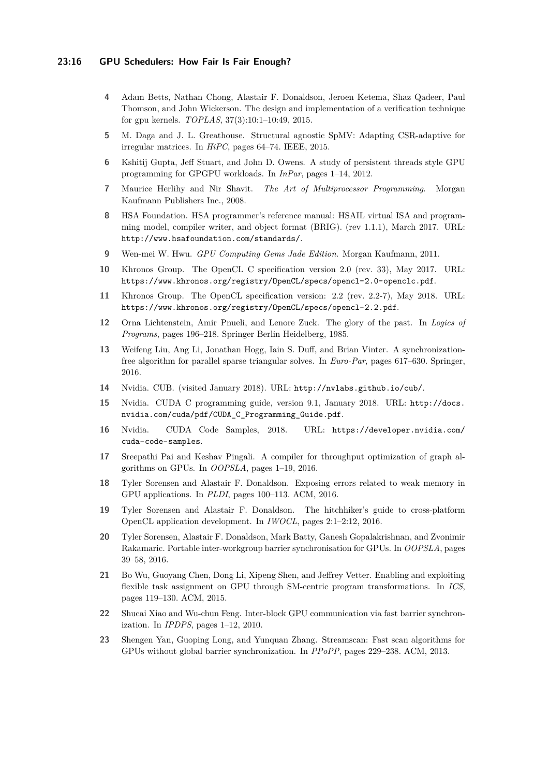#### **23:16 GPU Schedulers: How Fair Is Fair Enough?**

- <span id="page-15-7"></span>**4** Adam Betts, Nathan Chong, Alastair F. Donaldson, Jeroen Ketema, Shaz Qadeer, Paul Thomson, and John Wickerson. The design and implementation of a verification technique for gpu kernels. *TOPLAS*, 37(3):10:1–10:49, 2015.
- <span id="page-15-16"></span>**5** M. Daga and J. L. Greathouse. Structural agnostic SpMV: Adapting CSR-adaptive for irregular matrices. In *HiPC*, pages 64–74. IEEE, 2015.
- <span id="page-15-12"></span>**6** Kshitij Gupta, Jeff Stuart, and John D. Owens. A study of persistent threads style GPU programming for GPGPU workloads. In *InPar*, pages 1–14, 2012.
- <span id="page-15-8"></span>**7** Maurice Herlihy and Nir Shavit. *The Art of Multiprocessor Programming*. Morgan Kaufmann Publishers Inc., 2008.
- <span id="page-15-2"></span>**8** HSA Foundation. HSA programmer's reference manual: HSAIL virtual ISA and programming model, compiler writer, and object format (BRIG). (rev 1.1.1), March 2017. URL: <http://www.hsafoundation.com/standards/>.
- <span id="page-15-13"></span>**9** Wen-mei W. Hwu. *GPU Computing Gems Jade Edition*. Morgan Kaufmann, 2011.
- <span id="page-15-4"></span>**10** Khronos Group. The OpenCL C specification version 2.0 (rev. 33), May 2017. URL: <https://www.khronos.org/registry/OpenCL/specs/opencl-2.0-openclc.pdf>.
- <span id="page-15-0"></span>**11** Khronos Group. The OpenCL specification version: 2.2 (rev. 2.2-7), May 2018. URL: <https://www.khronos.org/registry/OpenCL/specs/opencl-2.2.pdf>.
- <span id="page-15-9"></span>**12** Orna Lichtenstein, Amir Pnueli, and Lenore Zuck. The glory of the past. In *Logics of Programs*, pages 196–218. Springer Berlin Heidelberg, 1985.
- <span id="page-15-17"></span>**13** Weifeng Liu, Ang Li, Jonathan Hogg, Iain S. Duff, and Brian Vinter. A synchronizationfree algorithm for parallel sparse triangular solves. In *Euro-Par*, pages 617–630. Springer, 2016.
- <span id="page-15-11"></span>**14** Nvidia. CUB. (visited January 2018). URL: <http://nvlabs.github.io/cub/>.
- <span id="page-15-1"></span>**15** Nvidia. CUDA C programming guide, version 9.1, January 2018. URL: [http://docs.](http://docs.nvidia.com/cuda/pdf/CUDA_C_Programming_Guide.pdf) [nvidia.com/cuda/pdf/CUDA\\_C\\_Programming\\_Guide.pdf](http://docs.nvidia.com/cuda/pdf/CUDA_C_Programming_Guide.pdf).
- <span id="page-15-18"></span>**16** Nvidia. CUDA Code Samples, 2018. URL: [https://developer.nvidia.com/](https://developer.nvidia.com/cuda-code-samples) [cuda-code-samples](https://developer.nvidia.com/cuda-code-samples).
- <span id="page-15-14"></span>**17** Sreepathi Pai and Keshav Pingali. A compiler for throughput optimization of graph algorithms on GPUs. In *OOPSLA*, pages 1–19, 2016.
- <span id="page-15-6"></span>**18** Tyler Sorensen and Alastair F. Donaldson. Exposing errors related to weak memory in GPU applications. In *PLDI*, pages 100–113. ACM, 2016.
- <span id="page-15-5"></span>**19** Tyler Sorensen and Alastair F. Donaldson. The hitchhiker's guide to cross-platform OpenCL application development. In *IWOCL*, pages 2:1–2:12, 2016.
- <span id="page-15-3"></span>**20** Tyler Sorensen, Alastair F. Donaldson, Mark Batty, Ganesh Gopalakrishnan, and Zvonimir Rakamaric. Portable inter-workgroup barrier synchronisation for GPUs. In *OOPSLA*, pages 39–58, 2016.
- <span id="page-15-19"></span>**21** Bo Wu, Guoyang Chen, Dong Li, Xipeng Shen, and Jeffrey Vetter. Enabling and exploiting flexible task assignment on GPU through SM-centric program transformations. In *ICS*, pages 119–130. ACM, 2015.
- <span id="page-15-10"></span>**22** Shucai Xiao and Wu-chun Feng. Inter-block GPU communication via fast barrier synchronization. In *IPDPS*, pages 1–12, 2010.
- <span id="page-15-15"></span>**23** Shengen Yan, Guoping Long, and Yunquan Zhang. Streamscan: Fast scan algorithms for GPUs without global barrier synchronization. In *PPoPP*, pages 229–238. ACM, 2013.